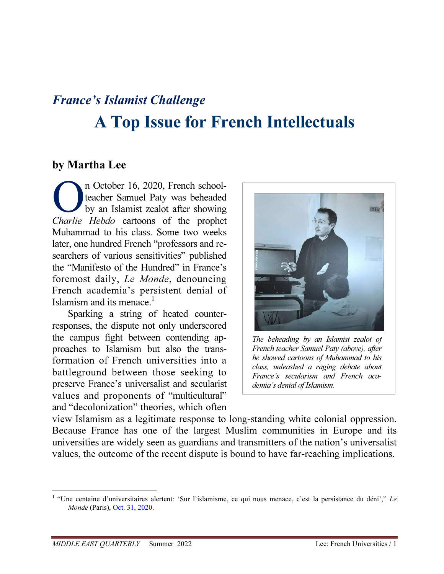# France's Islamist Challenge A Top Issue for French Intellectuals

## by Martha Lee

n October 16, 2020, French schoolteacher Samuel Paty was beheaded by an Islamist zealot after showing Charlie Hebdo cartoons of the prophet Muhammad to his class. Some two weeks later, one hundred French "professors and researchers of various sensitivities" published the "Manifesto of the Hundred" in France's foremost daily, Le Monde, denouncing French academia's persistent denial of Islamism and its menace.<sup>1</sup> O<sup>T</sup>

Sparking a string of heated counterresponses, the dispute not only underscored the campus fight between contending approaches to Islamism but also the transformation of French universities into a battleground between those seeking to preserve France's universalist and secularist values and proponents of "multicultural" and "decolonization" theories, which often



The beheading by an Islamist zealot of French teacher Samuel Paty (above), after he showed cartoons of Muhammad to his class, unleashed a raging debate about France's secularism and French academia's denial of Islamism.

view Islamism as a legitimate response to long-standing white colonial oppression. Because France has one of the largest Muslim communities in Europe and its universities are widely seen as guardians and transmitters of the nation's universalist values, the outcome of the recent dispute is bound to have far-reaching implications.

 $\overline{a}$ 

<sup>&</sup>lt;sup>1</sup> "Une centaine d'universitaires alertent: 'Sur l'islamisme, ce qui nous menace, c'est la persistance du déni'," Le Monde (Paris), Oct. 31, 2020.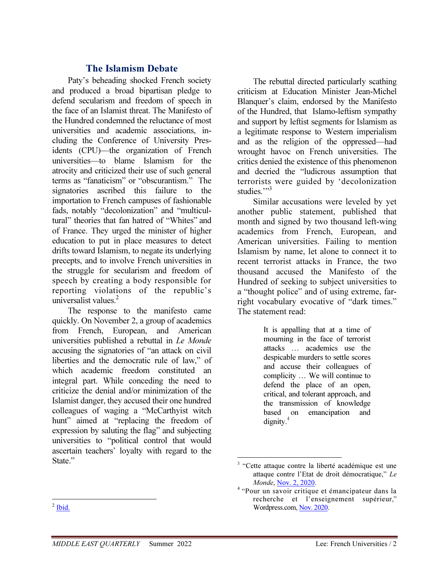### The Islamism Debate

Paty's beheading shocked French society and produced a broad bipartisan pledge to defend secularism and freedom of speech in the face of an Islamist threat. The Manifesto of the Hundred condemned the reluctance of most universities and academic associations, including the Conference of University Presidents (CPU)—the organization of French universities—to blame Islamism for the atrocity and criticized their use of such general terms as "fanaticism" or "obscurantism." The signatories ascribed this failure to the importation to French campuses of fashionable fads, notably "decolonization" and "multicultural" theories that fan hatred of "Whites" and of France. They urged the minister of higher education to put in place measures to detect drifts toward Islamism, to negate its underlying precepts, and to involve French universities in the struggle for secularism and freedom of speech by creating a body responsible for reporting violations of the republic's universalist values.<sup>2</sup>

The response to the manifesto came quickly. On November 2, a group of academics from French, European, and American universities published a rebuttal in Le Monde accusing the signatories of "an attack on civil liberties and the democratic rule of law," of which academic freedom constituted an integral part. While conceding the need to criticize the denial and/or minimization of the Islamist danger, they accused their one hundred colleagues of waging a "McCarthyist witch hunt" aimed at "replacing the freedom of expression by saluting the flag" and subjecting universities to "political control that would ascertain teachers' loyalty with regard to the State."

The rebuttal directed particularly scathing criticism at Education Minister Jean-Michel Blanquer's claim, endorsed by the Manifesto of the Hundred, that Islamo-leftism sympathy and support by leftist segments for Islamism as a legitimate response to Western imperialism and as the religion of the oppressed—had wrought havoc on French universities. The critics denied the existence of this phenomenon and decried the "ludicrous assumption that terrorists were guided by 'decolonization studies."<sup>3</sup>

Similar accusations were leveled by yet another public statement, published that month and signed by two thousand left-wing academics from French, European, and American universities. Failing to mention Islamism by name, let alone to connect it to recent terrorist attacks in France, the two thousand accused the Manifesto of the Hundred of seeking to subject universities to a "thought police" and of using extreme, farright vocabulary evocative of "dark times." The statement read:

> It is appalling that at a time of mourning in the face of terrorist attacks … academics use the despicable murders to settle scores and accuse their colleagues of complicity … We will continue to defend the place of an open, critical, and tolerant approach, and the transmission of knowledge based on emancipation and  $d$ ignity. $4$

 $\overline{a}$ <sup>3</sup> "Cette attaque contre la liberté académique est une attaque contre l'Etat de droit démocratique," Le Monde, Nov. 2, 2020.

<sup>4</sup> "Pour un savoir critique et émancipateur dans la recherche et l'enseignement supérieur," Wordpress.com, Nov. 2020.

 $\frac{1}{2}$  Ibid.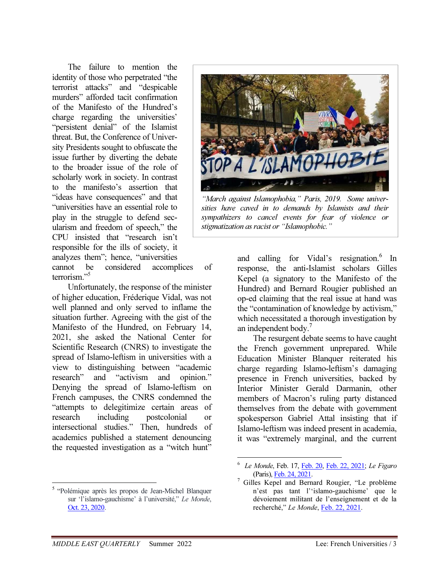The failure to mention the identity of those who perpetrated "the terrorist attacks" and "despicable murders" afforded tacit confirmation of the Manifesto of the Hundred's charge regarding the universities' "persistent denial" of the Islamist threat. But, the Conference of University Presidents sought to obfuscate the issue further by diverting the debate to the broader issue of the role of scholarly work in society. In contrast to the manifesto's assertion that "ideas have consequences" and that "universities have an essential role to play in the struggle to defend secularism and freedom of speech," the CPU insisted that "research isn't responsible for the ills of society, it analyzes them"; hence, "universities



"March against Islamophobia," Paris, 2019. Some universities have caved in to demands by Islamists and their sympathizers to cancel events for fear of violence or stigmatization as racist or "Islamophobic."

cannot be considered accomplices of terrorism."<sup>5</sup>

Unfortunately, the response of the minister of higher education, Fréderique Vidal, was not well planned and only served to inflame the situation further. Agreeing with the gist of the Manifesto of the Hundred, on February 14, 2021, she asked the National Center for Scientific Research (CNRS) to investigate the spread of Islamo-leftism in universities with a view to distinguishing between "academic research" and "activism and opinion." Denying the spread of Islamo-leftism on French campuses, the CNRS condemned the "attempts to delegitimize certain areas of research including postcolonial or intersectional studies." Then, hundreds of academics published a statement denouncing the requested investigation as a "witch hunt"

and calling for Vidal's resignation.<sup>6</sup> In response, the anti-Islamist scholars Gilles Kepel (a signatory to the Manifesto of the Hundred) and Bernard Rougier published an op-ed claiming that the real issue at hand was the "contamination of knowledge by activism," which necessitated a thorough investigation by an independent body.<sup>7</sup>

The resurgent debate seems to have caught the French government unprepared. While Education Minister Blanquer reiterated his charge regarding Islamo-leftism's damaging presence in French universities, backed by Interior Minister Gerald Darmanin, other members of Macron's ruling party distanced themselves from the debate with government spokesperson Gabriel Attal insisting that if Islamo-leftism was indeed present in academia, it was "extremely marginal, and the current

<u>.</u>

<sup>5</sup> "Polémique après les propos de Jean-Michel Blanquer sur 'l'islamo-gauchisme' à l'université," Le Monde, Oct. 23, 2020.

 $\overline{a}$ 6 Le Monde, Feb. 17, Feb. 20, Feb. 22, 2021; Le Figaro (Paris), Feb. 24, 2021. 7

Gilles Kepel and Bernard Rougier, "Le problème n'est pas tant l''islamo-gauchisme' que le dévoiement militant de l'enseignement et de la recherché," Le Monde, Feb. 22, 2021.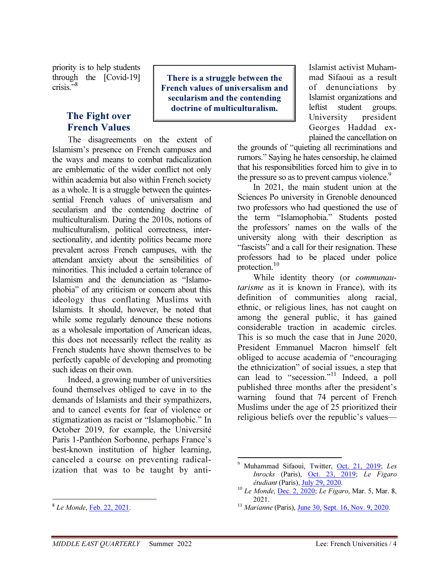priority is to help students through the [Covid-19] crisis."<sup>8</sup>

## The Fight over French Values

The disagreements on the extent of Islamism's presence on French campuses and the ways and means to combat radicalization are emblematic of the wider conflict not only within academia but also within French society as a whole. It is a struggle between the quintessential French values of universalism and secularism and the contending doctrine of multiculturalism. During the 2010s, notions of multiculturalism, political correctness, intersectionality, and identity politics became more prevalent across French campuses, with the attendant anxiety about the sensibilities of minorities. This included a certain tolerance of Islamism and the denunciation as "Islamophobia" of any criticism or concern about this ideology thus conflating Muslims with Islamists. It should, however, be noted that while some regularly denounce these notions as a wholesale importation of American ideas, this does not necessarily reflect the reality as French students have shown themselves to be perfectly capable of developing and promoting such ideas on their own.

Indeed, a growing number of universities found themselves obliged to cave in to the demands of Islamists and their sympathizers, and to cancel events for fear of violence or stigmatization as racist or "Islamophobic." In October 2019, for example, the Université Paris 1-Panthéon Sorbonne, perhaps France's best-known institution of higher learning, canceled a course on preventing radicalization that was to be taught by anti-

There is a struggle between the French values of universalism and secularism and the contending doctrine of multiculturalism.

Islamist activist Muhammad Sifaoui as a result of denunciations by Islamist organizations and leftist student groups. University president Georges Haddad explained the cancellation on

the grounds of "quieting all recriminations and rumors." Saying he hates censorship, he claimed that his responsibilities forced him to give in to the pressure so as to prevent campus violence.<sup>9</sup>

In 2021, the main student union at the Sciences Po university in Grenoble denounced two professors who had questioned the use of the term "Islamophobia." Students posted the professors' names on the walls of the university along with their description as "fascists" and a call for their resignation. These professors had to be placed under police protection.<sup>10</sup>

While identity theory (or *communau*tarisme as it is known in France), with its definition of communities along racial, ethnic, or religious lines, has not caught on among the general public, it has gained considerable traction in academic circles. This is so much the case that in June 2020, President Emmanuel Macron himself felt obliged to accuse academia of "encouraging the ethnicization" of social issues, a step that can lead to "secession."<sup>11</sup> Indeed, a poll published three months after the president's warning found that 74 percent of French Muslims under the age of 25 prioritized their religious beliefs over the republic's values—

<sup>&</sup>lt;sup>8</sup> Le Monde, <u>Feb. 22, 2021</u>.

<sup>&</sup>lt;u>.</u> 9 Muhammad Sifaoui, Twitter, Oct. 21, 2019; Les Inrocks (Paris), Oct. 23, 2019; Le Figaro étudiant (Paris), July 29, 2020.

 $10$  Le Monde, **Dec. 2, 2020**; Le Figaro, Mar. 5, Mar. 8, 2021.

<sup>&</sup>lt;sup>11</sup> Marianne (Paris), June 30, Sept. 16, Nov. 9, 2020.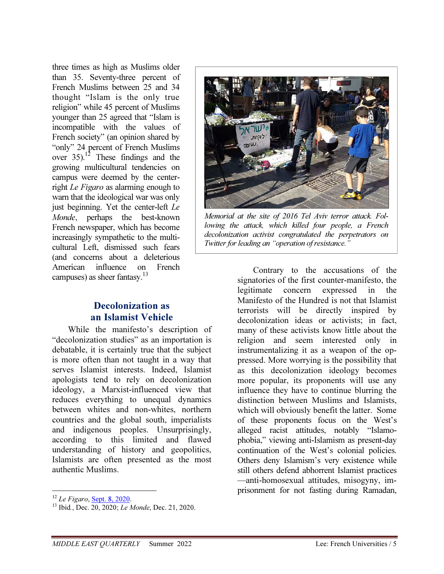three times as high as Muslims older than 35. Seventy-three percent of French Muslims between 25 and 34 thought "Islam is the only true religion" while 45 percent of Muslims younger than 25 agreed that "Islam is incompatible with the values of French society" (an opinion shared by "only" 24 percent of French Muslims over  $35$ ).<sup>12</sup> These findings and the growing multicultural tendencies on campus were deemed by the centerright Le Figaro as alarming enough to warn that the ideological war was only just beginning. Yet the center-left Le Monde, perhaps the best-known French newspaper, which has become increasingly sympathetic to the multicultural Left, dismissed such fears (and concerns about a deleterious American influence on French campuses) as sheer fantasy.<sup>13</sup>

## Decolonization as an Islamist Vehicle

While the manifesto's description of "decolonization studies" as an importation is debatable, it is certainly true that the subject is more often than not taught in a way that serves Islamist interests. Indeed, Islamist apologists tend to rely on decolonization ideology, a Marxist-influenced view that reduces everything to unequal dynamics between whites and non-whites, northern countries and the global south, imperialists and indigenous peoples. Unsurprisingly, according to this limited and flawed understanding of history and geopolitics, Islamists are often presented as the most authentic Muslims.

-



Memorial at the site of 2016 Tel Aviv terror attack. Following the attack, which killed four people, a French decolonization activist congratulated the perpetrators on Twitter for leading an "operation of resistance."

Contrary to the accusations of the signatories of the first counter-manifesto, the legitimate concern expressed in the Manifesto of the Hundred is not that Islamist terrorists will be directly inspired by decolonization ideas or activists; in fact, many of these activists know little about the religion and seem interested only in instrumentalizing it as a weapon of the oppressed. More worrying is the possibility that as this decolonization ideology becomes more popular, its proponents will use any influence they have to continue blurring the distinction between Muslims and Islamists, which will obviously benefit the latter. Some of these proponents focus on the West's alleged racist attitudes, notably "Islamophobia," viewing anti-Islamism as present-day continuation of the West's colonial policies. Others deny Islamism's very existence while still others defend abhorrent Islamist practices —anti-homosexual attitudes, misogyny, imprisonment for not fasting during Ramadan,

<sup>&</sup>lt;sup>12</sup> Le Figaro, **Sept. 8, 2020**.

 $^{13}$  Ibid., Dec.  $20, 2020$ ; Le Monde, Dec. 21, 2020.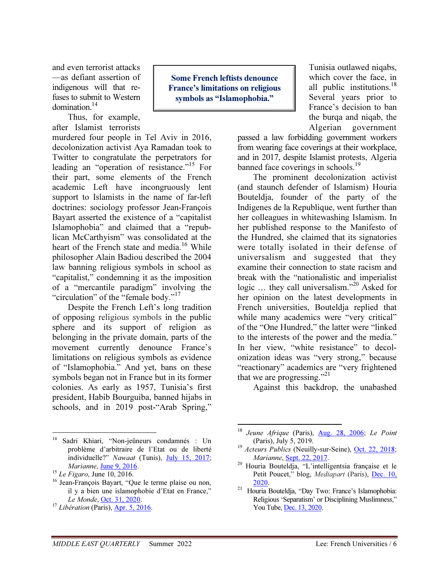and even terrorist attacks —as defiant assertion of indigenous will that refuses to submit to Western domination.<sup>14</sup>

Thus, for example, after Islamist terrorists

murdered four people in Tel Aviv in 2016, decolonization activist Aya Ramadan took to Twitter to congratulate the perpetrators for leading an "operation of resistance."<sup>15</sup> For their part, some elements of the French academic Left have incongruously lent support to Islamists in the name of far-left doctrines: sociology professor Jean-François Bayart asserted the existence of a "capitalist Islamophobia" and claimed that a "republican McCarthyism" was consolidated at the heart of the French state and media.<sup>16</sup> While philosopher Alain Badiou described the 2004 law banning religious symbols in school as "capitalist," condemning it as the imposition of a "mercantile paradigm" involving the "circulation" of the "female body."<sup>17</sup>

Despite the French Left's long tradition of opposing religious symbols in the public sphere and its support of religion as belonging in the private domain, parts of the movement currently denounce France's limitations on religious symbols as evidence of "Islamophobia." And yet, bans on these symbols began not in France but in its former colonies. As early as 1957, Tunisia's first president, Habib Bourguiba, banned hijabs in schools, and in 2019 post-"Arab Spring,"

Some French leftists denounce France's limitations on religious symbols as "Islamophobia."

Tunisia outlawed niqabs, which cover the face, in all public institutions.<sup>18</sup> Several years prior to France's decision to ban the burqa and niqab, the Algerian government

passed a law forbidding government workers from wearing face coverings at their workplace, and in 2017, despite Islamist protests, Algeria banned face coverings in schools.<sup>19</sup>

The prominent decolonization activist (and staunch defender of Islamism) Houria Bouteldja, founder of the party of the Indigenes de la Republique, went further than her colleagues in whitewashing Islamism. In her published response to the Manifesto of the Hundred, she claimed that its signatories were totally isolated in their defense of universalism and suggested that they examine their connection to state racism and break with the "nationalistic and imperialist logic ... they call universalism."<sup>20</sup> Asked for her opinion on the latest developments in French universities, Bouteldja replied that while many academics were "very critical" of the "One Hundred," the latter were "linked to the interests of the power and the media." In her view, "white resistance" to decolonization ideas was "very strong," because "reactionary" academics are "very frightened that we are progressing."<sup>21</sup>

Against this backdrop, the unabashed

-

 $14$ <sup>14</sup> Sadri Khiari, "Non-jeûneurs condamnés : Un problème d'arbitraire de l'Etat ou de liberté individuelle?" Nawaat (Tunis), July 15, 2017; Marianne, June 9, 2016.

 $15$  Le Figaro, June 10, 2016.

<sup>&</sup>lt;sup>16</sup> Jean-François Bayart, "Que le terme plaise ou non, il y a bien une islamophobie d'Etat en France," Le Monde, Oct. 31, 2020.

 $17$  Libération (Paris), Apr. 5, 2016.

<sup>&</sup>lt;sup>18</sup> Jeune Afrique (Paris), Aug. 28, 2006; Le Point (Paris), July 5, 2019.

<sup>&</sup>lt;sup>19</sup> Acteurs Publics (Neuilly-sur-Seine), Oct. 22, 2018; Marianne, Sept. 22, 2017.

<sup>20</sup> Houria Bouteldja, "L'intelligentsia française et le Petit Poucet," blog, Mediapart (Paris), Dec. 10, 2020.

<sup>21</sup> Houria Bouteldja, "Day Two: France's Islamophobia: Religious 'Separatism' or Disciplining Muslimness," You Tube, Dec. 13, 2020.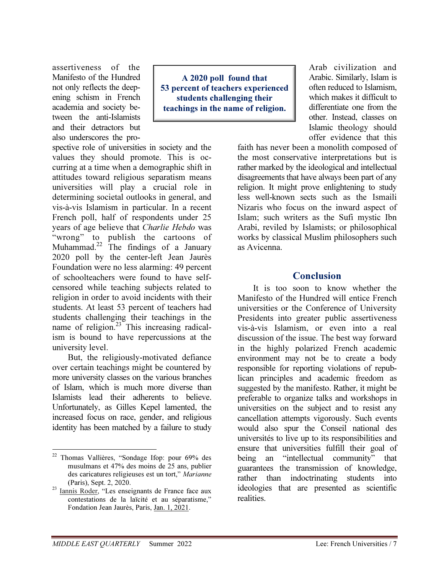assertiveness of the Manifesto of the Hundred not only reflects the deepening schism in French academia and society between the anti-Islamists and their detractors but also underscores the pro-

A 2020 poll found that 53 percent of teachers experienced students challenging their teachings in the name of religion.

spective role of universities in society and the values they should promote. This is occurring at a time when a demographic shift in attitudes toward religious separatism means universities will play a crucial role in determining societal outlooks in general, and vis-à-vis Islamism in particular. In a recent French poll, half of respondents under 25 years of age believe that Charlie Hebdo was "wrong" to publish the cartoons of Muhammad.<sup>22</sup> The findings of a January 2020 poll by the center-left Jean Jaurès Foundation were no less alarming: 49 percent of schoolteachers were found to have selfcensored while teaching subjects related to religion in order to avoid incidents with their students. At least 53 percent of teachers had students challenging their teachings in the name of religion.<sup>23</sup> This increasing radicalism is bound to have repercussions at the university level.

But, the religiously-motivated defiance over certain teachings might be countered by more university classes on the various branches of Islam, which is much more diverse than Islamists lead their adherents to believe. Unfortunately, as Gilles Kepel lamented, the increased focus on race, gender, and religious identity has been matched by a failure to study

Arab civilization and Arabic. Similarly, Islam is often reduced to Islamism, which makes it difficult to differentiate one from the other. Instead, classes on Islamic theology should offer evidence that this

faith has never been a monolith composed of the most conservative interpretations but is rather marked by the ideological and intellectual disagreements that have always been part of any religion. It might prove enlightening to study less well-known sects such as the Ismaili Nizaris who focus on the inward aspect of Islam; such writers as the Sufi mystic Ibn Arabi, reviled by Islamists; or philosophical works by classical Muslim philosophers such as Avicenna.

#### Conclusion

It is too soon to know whether the Manifesto of the Hundred will entice French universities or the Conference of University Presidents into greater public assertiveness vis-à-vis Islamism, or even into a real discussion of the issue. The best way forward in the highly polarized French academic environment may not be to create a body responsible for reporting violations of republican principles and academic freedom as suggested by the manifesto. Rather, it might be preferable to organize talks and workshops in universities on the subject and to resist any cancellation attempts vigorously. Such events would also spur the Conseil national des universités to live up to its responsibilities and ensure that universities fulfill their goal of being an "intellectual community" that guarantees the transmission of knowledge, rather than indoctrinating students into ideologies that are presented as scientific realities.

 $\overline{a}$ <sup>22</sup> Thomas Vallières, "Sondage Ifop: pour 69% des musulmans et 47% des moins de 25 ans, publier des caricatures religieuses est un tort," Marianne (Paris), Sept. 2, 2020.

<sup>&</sup>lt;sup>23</sup> Iannis Roder, "Les enseignants de France face aux contestations de la laïcité et au séparatisme," Fondation Jean Jaurès, Paris, Jan. 1, 2021.